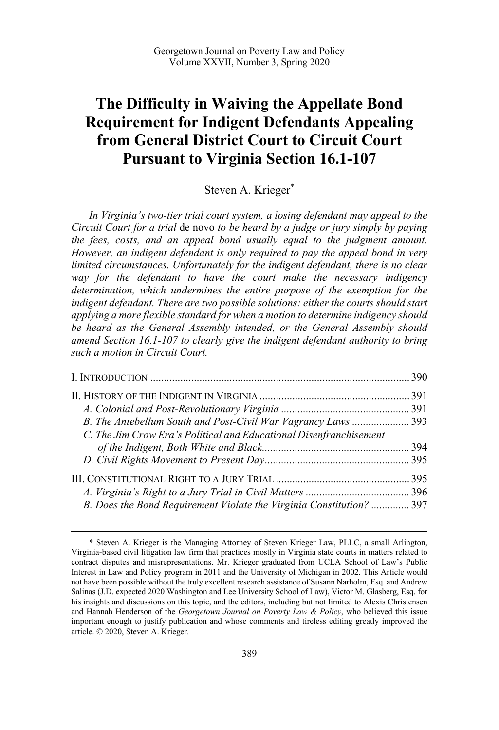# **The Difficulty in Waiving the Appellate Bond Requirement for Indigent Defendants Appealing from General District Court to Circuit Court Pursuant to Virginia Section 16.1-107**

## Steven A. Krieger\*

*In Virginia's two-tier trial court system, a losing defendant may appeal to the Circuit Court for a trial* de novo *to be heard by a judge or jury simply by paying the fees, costs, and an appeal bond usually equal to the judgment amount. However, an indigent defendant is only required to pay the appeal bond in very limited circumstances. Unfortunately for the indigent defendant, there is no clear way for the defendant to have the court make the necessary indigency determination, which undermines the entire purpose of the exemption for the*  indigent defendant. There are two possible solutions: either the courts should start *applying a more flexible standard for when a motion to determine indigency should be heard as the General Assembly intended, or the General Assembly should amend Section 16.1-107 to clearly give the indigent defendant authority to bring such a motion in Circuit Court.* 

| B. The Antebellum South and Post-Civil War Vagrancy Laws  393        |  |
|----------------------------------------------------------------------|--|
| C. The Jim Crow Era's Political and Educational Disenfranchisement   |  |
|                                                                      |  |
|                                                                      |  |
|                                                                      |  |
|                                                                      |  |
| B. Does the Bond Requirement Violate the Virginia Constitution?  397 |  |

 <sup>\*</sup> Steven A. Krieger is the Managing Attorney of Steven Krieger Law, PLLC, a small Arlington, Virginia-based civil litigation law firm that practices mostly in Virginia state courts in matters related to contract disputes and misrepresentations. Mr. Krieger graduated from UCLA School of Law's Public Interest in Law and Policy program in 2011 and the University of Michigan in 2002. This Article would not have been possible without the truly excellent research assistance of Susann Narholm, Esq. and Andrew Salinas (J.D. expected 2020 Washington and Lee University School of Law), Victor M. Glasberg, Esq. for his insights and discussions on this topic, and the editors, including but not limited to Alexis Christensen and Hannah Henderson of the *Georgetown Journal on Poverty Law & Policy*, who believed this issue important enough to justify publication and whose comments and tireless editing greatly improved the article. © 2020, Steven A. Krieger.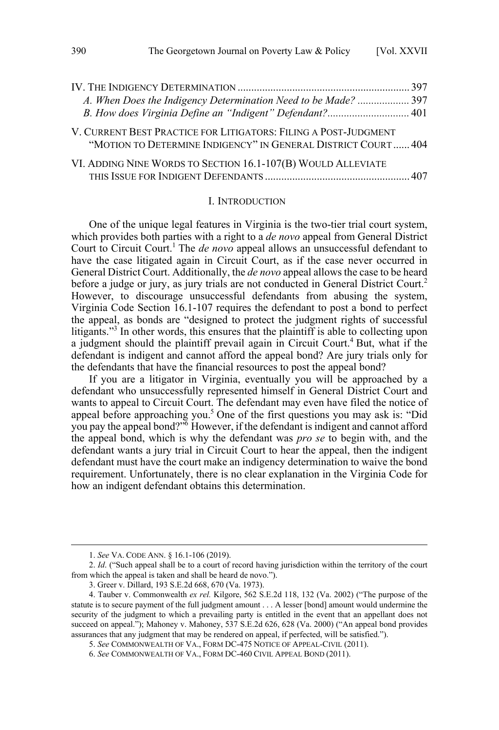<span id="page-1-0"></span>

| A. When Does the Indigency Determination Need to be Made? 397                                                                    |  |
|----------------------------------------------------------------------------------------------------------------------------------|--|
| B. How does Virginia Define an "Indigent" Defendant? 401                                                                         |  |
| V. CURRENT BEST PRACTICE FOR LITIGATORS: FILING A POST-JUDGMENT<br>"MOTION TO DETERMINE INDIGENCY" IN GENERAL DISTRICT COURT 404 |  |
| VI. ADDING NINE WORDS TO SECTION 16.1-107(B) WOULD ALLEVIATE                                                                     |  |
|                                                                                                                                  |  |

#### I. INTRODUCTION

One of the unique legal features in Virginia is the two-tier trial court system, which provides both parties with a right to a *de novo* appeal from General District Court to Circuit Court.<sup>1</sup> The *de novo* appeal allows an unsuccessful defendant to have the case litigated again in Circuit Court, as if the case never occurred in General District Court. Additionally, the *de novo* appeal allows the case to be heard before a judge or jury, as jury trials are not conducted in General District Court.<sup>2</sup> However, to discourage unsuccessful defendants from abusing the system, Virginia Code Section 16.1-107 requires the defendant to post a bond to perfect the appeal, as bonds are "designed to protect the judgment rights of successful litigants."<sup>3</sup> In other words, this ensures that the plaintiff is able to collecting upon a judgment should the plaintiff prevail again in Circuit Court.<sup>4</sup> But, what if the defendant is indigent and cannot afford the appeal bond? Are jury trials only for the defendants that have the financial resources to post the appeal bond?

If you are a litigator in Virginia, eventually you will be approached by a defendant who unsuccessfully represented himself in General District Court and wants to appeal to Circuit Court. The defendant may even have filed the notice of appeal before approaching you.<sup>5</sup> One of the first questions you may ask is: "Did you pay the appeal bond?"<sup>6</sup> However, if the defendant is indigent and cannot afford the appeal bond, which is why the defendant was *pro se* to begin with, and the defendant wants a jury trial in Circuit Court to hear the appeal, then the indigent defendant must have the court make an indigency determination to waive the bond requirement. Unfortunately, there is no clear explanation in the Virginia Code for how an indigent defendant obtains this determination.

 <sup>1.</sup> *See* VA. CODE ANN. § 16.1-106 (2019).

<sup>2.</sup> *Id*. ("Such appeal shall be to a court of record having jurisdiction within the territory of the court from which the appeal is taken and shall be heard de novo.").

<sup>3.</sup> Greer v. Dillard, 193 S.E.2d 668, 670 (Va. 1973).

<sup>4.</sup> Tauber v. Commonwealth *ex rel.* Kilgore, 562 S.E.2d 118, 132 (Va. 2002) ("The purpose of the statute is to secure payment of the full judgment amount . . . A lesser [bond] amount would undermine the security of the judgment to which a prevailing party is entitled in the event that an appellant does not succeed on appeal."); Mahoney v. Mahoney, 537 S.E.2d 626, 628 (Va. 2000) ("An appeal bond provides assurances that any judgment that may be rendered on appeal, if perfected, will be satisfied.").

<sup>5.</sup> *See* COMMONWEALTH OF VA., FORM DC-475 NOTICE OF APPEAL-CIVIL (2011).

<sup>6.</sup> *See* COMMONWEALTH OF VA., FORM DC-460 CIVIL APPEAL BOND (2011).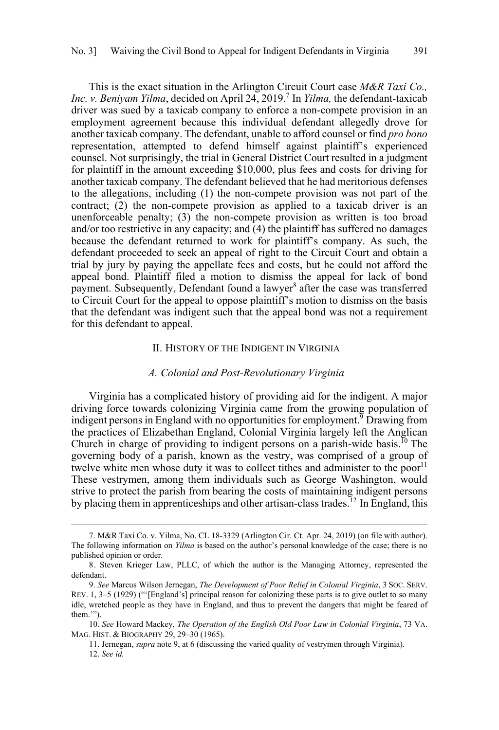<span id="page-2-0"></span>This is the exact situation in the Arlington Circuit Court case *M&R Taxi Co., Inc. v. Beniyam Yilma*, decided on April 24, 2019.<sup>7</sup> In *Yilma*, the defendant-taxicab driver was sued by a taxicab company to enforce a non-compete provision in an employment agreement because this individual defendant allegedly drove for another taxicab company. The defendant, unable to afford counsel or find *pro bono*  representation, attempted to defend himself against plaintiff's experienced counsel. Not surprisingly, the trial in General District Court resulted in a judgment for plaintiff in the amount exceeding \$10,000, plus fees and costs for driving for another taxicab company. The defendant believed that he had meritorious defenses to the allegations, including (1) the non-compete provision was not part of the contract; (2) the non-compete provision as applied to a taxicab driver is an unenforceable penalty; (3) the non-compete provision as written is too broad and/or too restrictive in any capacity; and (4) the plaintiff has suffered no damages because the defendant returned to work for plaintiff's company. As such, the defendant proceeded to seek an appeal of right to the Circuit Court and obtain a trial by jury by paying the appellate fees and costs, but he could not afford the appeal bond. Plaintiff filed a motion to dismiss the appeal for lack of bond payment. Subsequently, Defendant found a lawyer<sup>8</sup> after the case was transferred to Circuit Court for the appeal to oppose plaintiff's motion to dismiss on the basis that the defendant was indigent such that the appeal bond was not a requirement for this defendant to appeal.

#### II. HISTORY OF THE INDIGENT IN VIRGINIA

#### *A. Colonial and Post-Revolutionary Virginia*

Virginia has a complicated history of providing aid for the indigent. A major driving force towards colonizing Virginia came from the growing population of indigent persons in England with no opportunities for employment.<sup>9</sup> Drawing from the practices of Elizabethan England, Colonial Virginia largely left the Anglican Church in charge of providing to indigent persons on a parish-wide basis.<sup>10</sup> The governing body of a parish, known as the vestry, was comprised of a group of twelve white men whose duty it was to collect tithes and administer to the poor<sup>11</sup> These vestrymen, among them individuals such as George Washington, would strive to protect the parish from bearing the costs of maintaining indigent persons by placing them in apprenticeships and other artisan-class trades.<sup>12</sup> In England, this

 <sup>7.</sup> M&R Taxi Co. v. Yilma, No. CL 18-3329 (Arlington Cir. Ct. Apr. 24, 2019) (on file with author). The following information on *Yilma* is based on the author's personal knowledge of the case; there is no published opinion or order.

<sup>8.</sup> Steven Krieger Law, PLLC, of which the author is the Managing Attorney, represented the defendant.

<sup>9.</sup> *See* Marcus Wilson Jernegan, *The Development of Poor Relief in Colonial Virginia*, 3 SOC. SERV. REV. 1, 3-5 (1929) ("'[England's] principal reason for colonizing these parts is to give outlet to so many idle, wretched people as they have in England, and thus to prevent the dangers that might be feared of them.'").

<sup>10.</sup> *See* Howard Mackey, *The Operation of the English Old Poor Law in Colonial Virginia*, 73 VA. MAG. HIST. & BIOGRAPHY 29, 29–30 (1965).

<sup>11.</sup> Jernegan, *supra* note 9, at 6 (discussing the varied quality of vestrymen through Virginia). 12. *See id.*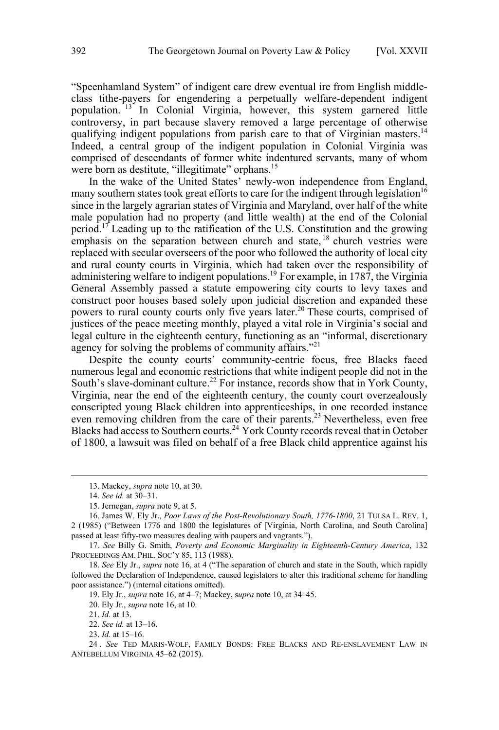"Speenhamland System" of indigent care drew eventual ire from English middleclass tithe-payers for engendering a perpetually welfare-dependent indigent population. <sup>13</sup> In Colonial Virginia, however, this system garnered little controversy, in part because slavery removed a large percentage of otherwise qualifying indigent populations from parish care to that of Virginian masters.<sup>14</sup> Indeed, a central group of the indigent population in Colonial Virginia was comprised of descendants of former white indentured servants, many of whom were born as destitute, "illegitimate" orphans.<sup>15</sup>

In the wake of the United States' newly-won independence from England, many southern states took great efforts to care for the indigent through legislation<sup>16</sup> since in the largely agrarian states of Virginia and Maryland, over half of the white male population had no property (and little wealth) at the end of the Colonial period.<sup>17</sup> Leading up to the ratification of the U.S. Constitution and the growing emphasis on the separation between church and state, <sup>18</sup> church vestries were replaced with secular overseers of the poor who followed the authority of local city and rural county courts in Virginia, which had taken over the responsibility of administering welfare to indigent populations.19 For example, in 1787, the Virginia General Assembly passed a statute empowering city courts to levy taxes and construct poor houses based solely upon judicial discretion and expanded these powers to rural county courts only five years later.20 These courts, comprised of justices of the peace meeting monthly, played a vital role in Virginia's social and legal culture in the eighteenth century, functioning as an "informal, discretionary agency for solving the problems of community affairs."<sup>21</sup>

Despite the county courts' community-centric focus, free Blacks faced numerous legal and economic restrictions that white indigent people did not in the South's slave-dominant culture.<sup>22</sup> For instance, records show that in York County, Virginia, near the end of the eighteenth century, the county court overzealously conscripted young Black children into apprenticeships, in one recorded instance even removing children from the care of their parents.<sup>23</sup> Nevertheless, even free Blacks had access to Southern courts.<sup>24</sup> York County records reveal that in October of 1800, a lawsuit was filed on behalf of a free Black child apprentice against his

 $\overline{a}$ 

17. *See* Billy G. Smith, *Poverty and Economic Marginality in Eighteenth-Century America*, 132 PROCEEDINGS AM. PHIL. SOC'Y 85, 113 (1988).

18. *See* Ely Jr., *supra* note 16, at 4 ("The separation of church and state in the South, which rapidly followed the Declaration of Independence, caused legislators to alter this traditional scheme for handling poor assistance.") (internal citations omitted).

19. Ely Jr., *supra* note 16, at 4–7; Mackey, s*upra* note 10, at 34–45.

20. Ely Jr., *supra* note 16, at 10.

23. *Id.* at 15–16.

24 . *See* TED MARIS-WOLF, FAMILY BONDS: FREE BLACKS AND RE-ENSLAVEMENT LAW IN ANTEBELLUM VIRGINIA 45–62 (2015).

 <sup>13.</sup> Mackey, *supra* note 10, at 30.

<sup>14.</sup> *See id.* at 30–31.

<sup>15.</sup> Jernegan, *supra* note 9, at 5.

<sup>16.</sup> James W. Ely Jr., *Poor Laws of the Post-Revolutionary South, 1776-1800*, 21 TULSA L. REV. 1, 2 (1985) ("Between 1776 and 1800 the legislatures of [Virginia, North Carolina, and South Carolina] passed at least fifty-two measures dealing with paupers and vagrants.").

<sup>21.</sup> *Id.* at 13.

<sup>22.</sup> *See id.* at 13–16.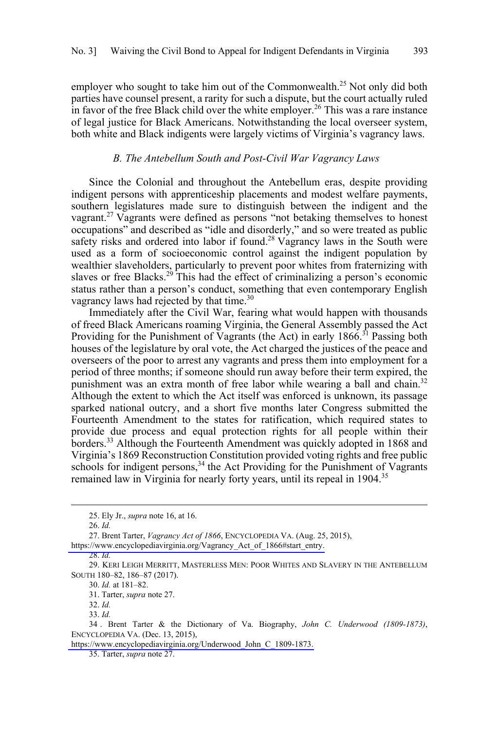<span id="page-4-0"></span>employer who sought to take him out of the Commonwealth.<sup>25</sup> Not only did both parties have counsel present, a rarity for such a dispute, but the court actually ruled in favor of the free Black child over the white employer.<sup>26</sup> This was a rare instance of legal justice for Black Americans. Notwithstanding the local overseer system, both white and Black indigents were largely victims of Virginia's vagrancy laws.

#### *B. The Antebellum South and Post-Civil War Vagrancy Laws*

Since the Colonial and throughout the Antebellum eras, despite providing indigent persons with apprenticeship placements and modest welfare payments, southern legislatures made sure to distinguish between the indigent and the vagrant.<sup>27</sup> Vagrants were defined as persons "not betaking themselves to honest occupations" and described as "idle and disorderly," and so were treated as public safety risks and ordered into labor if found.<sup>28</sup> Vagrancy laws in the South were used as a form of socioeconomic control against the indigent population by wealthier slaveholders, particularly to prevent poor whites from fraternizing with slaves or free Blacks.<sup>29</sup> This had the effect of criminalizing a person's economic status rather than a person's conduct, something that even contemporary English vagrancy laws had rejected by that time.<sup>30</sup>

Immediately after the Civil War, fearing what would happen with thousands of freed Black Americans roaming Virginia, the General Assembly passed the Act Providing for the Punishment of Vagrants (the Act) in early  $1866^{31}$  Passing both houses of the legislature by oral vote, the Act charged the justices of the peace and overseers of the poor to arrest any vagrants and press them into employment for a period of three months; if someone should run away before their term expired, the punishment was an extra month of free labor while wearing a ball and chain.<sup>32</sup> Although the extent to which the Act itself was enforced is unknown, its passage sparked national outcry, and a short five months later Congress submitted the Fourteenth Amendment to the states for ratification, which required states to provide due process and equal protection rights for all people within their borders.<sup>33</sup> Although the Fourteenth Amendment was quickly adopted in 1868 and Virginia's 1869 Reconstruction Constitution provided voting rights and free public schools for indigent persons,  $34$  the Act Providing for the Punishment of Vagrants remained law in Virginia for nearly forty years, until its repeal in 1904.<sup>35</sup>

[https://www.encyclopediavirginia.org/Vagrancy\\_Act\\_of\\_1866#start\\_entry.](https://www.encyclopediavirginia.org/Vagrancy_Act_of_1866#start_entry)

31. Tarter, *supra* note 27.

<sup>25.</sup> Ely Jr., *supra* note 16, at 16.

<sup>26.</sup> *Id.*

<sup>27.</sup> Brent Tarter, *Vagrancy Act of 1866*, ENCYCLOPEDIA VA. (Aug. 25, 2015),

<sup>28.</sup> *Id.*

<sup>29.</sup> KERI LEIGH MERRITT, MASTERLESS MEN: POOR WHITES AND SLAVERY IN THE ANTEBELLUM SOUTH 180–82, 186–87 (2017).

<sup>30.</sup> *Id.* at 181–82.

<sup>32.</sup> *Id.*

<sup>33.</sup> *Id.*

Brent Tarter & the Dictionary of Va. Biography, *John C. Underwood (1809-1873)*, 34 . ENCYCLOPEDIA VA. (Dec. 13, 2015),

[https://www.encyclopediavirginia.org/Underwood\\_John\\_C\\_1809-1873.](https://www.encyclopediavirginia.org/Underwood_John_C_1809-1873) 

<sup>35.</sup> Tarter, *supra* note 27.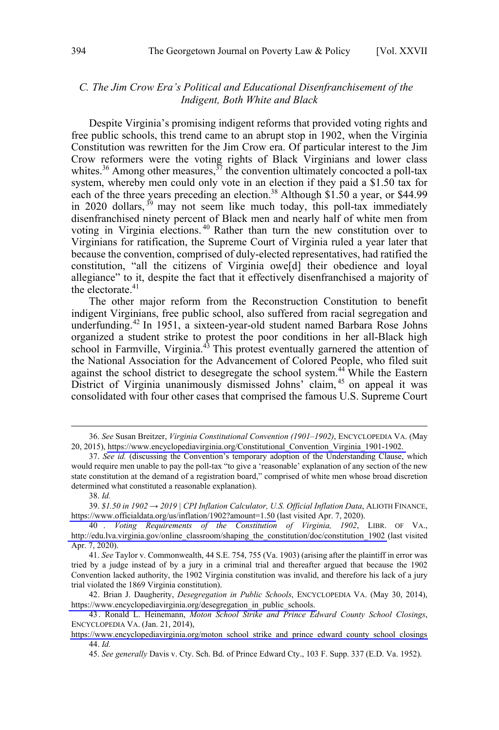## <span id="page-5-0"></span>*C. The Jim Crow Era's Political and Educational Disenfranchisement of the Indigent, Both White and Black*

Despite Virginia's promising indigent reforms that provided voting rights and free public schools, this trend came to an abrupt stop in 1902, when the Virginia Constitution was rewritten for the Jim Crow era. Of particular interest to the Jim Crow reformers were the voting rights of Black Virginians and lower class whites.<sup>36</sup> Among other measures,  $37$  the convention ultimately concocted a poll-tax system, whereby men could only vote in an election if they paid a \$1.50 tax for each of the three years preceding an election.<sup>38</sup> Although \$1.50 a year, or \$44.99 in 2020 dollars,  $39$  may not seem like much today, this poll-tax immediately disenfranchised ninety percent of Black men and nearly half of white men from voting in Virginia elections.<sup>40</sup> Rather than turn the new constitution over to Virginians for ratification, the Supreme Court of Virginia ruled a year later that because the convention, comprised of duly-elected representatives, had ratified the constitution, "all the citizens of Virginia owe[d] their obedience and loyal allegiance" to it, despite the fact that it effectively disenfranchised a majority of the electorate.<sup>41</sup>

The other major reform from the Reconstruction Constitution to benefit indigent Virginians, free public school, also suffered from racial segregation and underfunding.<sup>42</sup> In 1951, a sixteen-year-old student named Barbara Rose Johns organized a student strike to protest the poor conditions in her all-Black high school in Farmville, Virginia.<sup>43</sup> This protest eventually garnered the attention of the National Association for the Advancement of Colored People, who filed suit against the school district to desegregate the school system.<sup>44</sup> While the Eastern District of Virginia unanimously dismissed Johns' claim, <sup>45</sup> on appeal it was consolidated with four other cases that comprised the famous U.S. Supreme Court

 $\overline{a}$ 

*\$1.50 in 1902 → 2019 | CPI Inflation Calculator, U.S. Official Inflation Data*, ALIOTH FINANCE, 39. <https://www.officialdata.org/us/inflation/1902?amount=1.50>(last visited Apr. 7, 2020).

*See* Susan Breitzer, *Virginia Constitutional Convention (1901–1902)*, ENCYCLOPEDIA VA. (May 36. 20, 2015), [https://www.encyclopediavirginia.org/Constitutional\\_Convention\\_Virginia\\_1901-1902.](https://www.encyclopediavirginia.org/Constitutional_Convention_Virginia_1901-1902) 

<sup>37.</sup> *See id.* (discussing the Convention's temporary adoption of the Understanding Clause, which would require men unable to pay the poll-tax "to give a 'reasonable' explanation of any section of the new state constitution at the demand of a registration board," comprised of white men whose broad discretion determined what constituted a reasonable explanation).

<sup>38.</sup> *Id.*

*Voting Requirements of the Constitution of Virginia, 1902*, LIBR. OF VA., 40 . [http://edu.lva.virginia.gov/online\\_classroom/shaping\\_the\\_constitution/doc/constitution\\_1902](http://edu.lva.virginia.gov/online_classroom/shaping_the_constitution/doc/constitution_1902) (last visited Apr. 7, 2020).

<sup>41.</sup> *See* Taylor v. Commonwealth, 44 S.E. 754, 755 (Va. 1903) (arising after the plaintiff in error was tried by a judge instead of by a jury in a criminal trial and thereafter argued that because the 1902 Convention lacked authority, the 1902 Virginia constitution was invalid, and therefore his lack of a jury trial violated the 1869 Virginia constitution).

<sup>42.</sup> Brian J. Daugherity, *Desegregation in Public Schools*, ENCYCLOPEDIA VA. (May 30, 2014), https://www.encyclopediavirginia.org/desegregation\_in\_public\_schools.

<sup>43.</sup> Ronald L. Heinemann, Moton School Strike and Prince Edward County School Closings, ENCYCLOPEDIA VA. (Jan. 21, 2014),

https://www.encyclopediavirginia.org/moton\_school\_strike\_and\_prince\_edward\_county\_school\_closings 44. *Id.*

<sup>45.</sup> *See generally* Davis v. Cty. Sch. Bd. of Prince Edward Cty., 103 F. Supp. 337 (E.D. Va. 1952).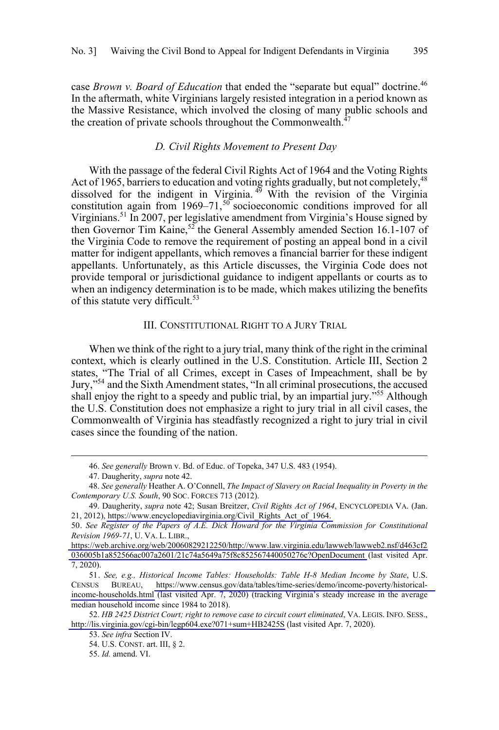<span id="page-6-0"></span>case *Brown v. Board of Education* that ended the "separate but equal" doctrine.<sup>46</sup> In the aftermath, white Virginians largely resisted integration in a period known as the Massive Resistance, which involved the closing of many public schools and the creation of private schools throughout the Commonwealth.<sup>4</sup>

## *D. Civil Rights Movement to Present Day*

With the passage of the federal Civil Rights Act of 1964 and the Voting Rights Act of 1965, barriers to education and voting rights gradually, but not completely,<sup>48</sup> dissolved for the indigent in Virginia.<sup>49</sup> With the revision of the Virginia constitution again from  $1969-71$ , <sup>50</sup> socioeconomic conditions improved for all Virginians.<sup>51</sup> In 2007, per legislative amendment from Virginia's House signed by then Governor Tim Kaine,<sup>52</sup> the General Assembly amended Section 16.1-107 of the Virginia Code to remove the requirement of posting an appeal bond in a civil matter for indigent appellants, which removes a financial barrier for these indigent appellants. Unfortunately, as this Article discusses, the Virginia Code does not provide temporal or jurisdictional guidance to indigent appellants or courts as to when an indigency determination is to be made, which makes utilizing the benefits of this statute very difficult.<sup>53</sup>

## III. CONSTITUTIONAL RIGHT TO A JURY TRIAL

When we think of the right to a jury trial, many think of the right in the criminal context, which is clearly outlined in the U.S. Constitution. Article III, Section 2 states, "The Trial of all Crimes, except in Cases of Impeachment, shall be by Jury,"54 and the Sixth Amendment states, "In all criminal prosecutions, the accused shall enjoy the right to a speedy and public trial, by an impartial jury."<sup>55</sup> Although the U.S. Constitution does not emphasize a right to jury trial in all civil cases, the Commonwealth of Virginia has steadfastly recognized a right to jury trial in civil cases since the founding of the nation.

<sup>46.</sup>  *See generally* Brown v. Bd. of Educ. of Topeka, 347 U.S. 483 (1954).

<sup>47.</sup> Daugherity, *supra* note 42.

<sup>48.</sup> *See generally* Heather A. O'Connell, *The Impact of Slavery on Racial Inequality in Poverty in the Contemporary U.S. South*, 90 SOC. FORCES 713 (2012).

<sup>49.</sup> Daugherity, *supra* note 42; Susan Breitzer, *Civil Rights Act of 1964*, ENCYCLOPEDIA VA. (Jan. 21, 2012), [https://www.encyclopediavirginia.org/Civil\\_Rights\\_Act\\_of\\_1964.](https://www.encyclopediavirginia.org/Civil_Rights_Act_of_1964) 

<sup>50.</sup> See Register of the Papers of A.E. Dick Howard for the Virginia Commission for Constitutional *Revision 1969-71*, U. VA. L. LIBR.,

[https://web.archive.org/web/20060829212250/http://www.law.virginia.edu/lawweb/lawweb2.nsf/d463cf2](https://web.archive.org/web/20060829212250/http://www.law.virginia.edu/lawweb/lawweb2.nsf/d463cf2036005b1a852566ac007a2601/21c74a5649a75f8c852567440050276c?OpenDocumentOpenDocument) [036005b1a852566ac007a2601/21c74a5649a75f8c852567440050276c?OpenDocument](https://web.archive.org/web/20060829212250/http://www.law.virginia.edu/lawweb/lawweb2.nsf/d463cf2036005b1a852566ac007a2601/21c74a5649a75f8c852567440050276c?OpenDocumentOpenDocument) (last visited Apr. 7, 2020).

*See, e.g., Historical Income Tables: Households: Table H-8 Median Income by State*, U.S. 51. CENSUS BUREAU, [https://www.census.gov/data/tables/time-series/demo/income-poverty/historical](https://www.census.gov/data/tables/time-series/demo/income-poverty/historical-income-households.html)[income-households.html](https://www.census.gov/data/tables/time-series/demo/income-poverty/historical-income-households.html) (last visited Apr. 7, 2020) (tracking Virginia's steady increase in the average median household income since 1984 to 2018).

*HB 2425 District Court; right to remove case to circuit court eliminated*, VA. LEGIS. INFO. SESS., 52. <http://lis.virginia.gov/cgi-bin/legp604.exe?071+sum+HB2425S>(last visited Apr. 7, 2020).

<sup>53.</sup> *See infra* Section IV.

<sup>54.</sup> U.S. CONST. art. III, § 2.

<sup>55.</sup> *Id.* amend. VI.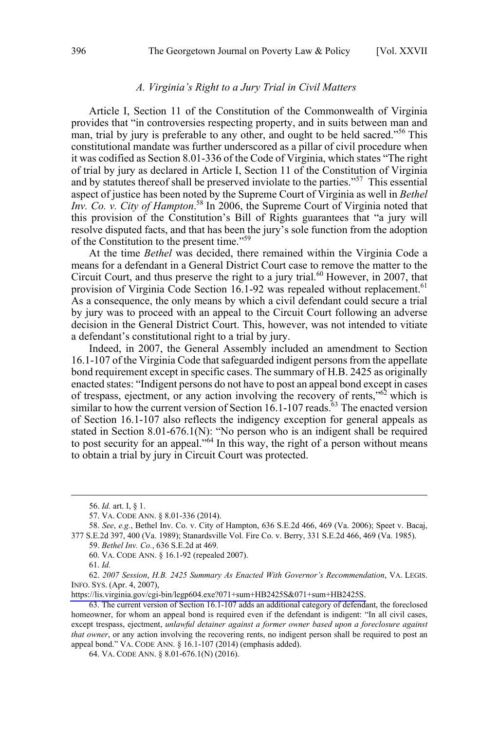#### *A. Virginia's Right to a Jury Trial in Civil Matters*

<span id="page-7-0"></span>Article I, Section 11 of the Constitution of the Commonwealth of Virginia provides that "in controversies respecting property, and in suits between man and man, trial by jury is preferable to any other, and ought to be held sacred."<sup>56</sup> This constitutional mandate was further underscored as a pillar of civil procedure when it was codified as Section 8.01-336 of the Code of Virginia, which states "The right of trial by jury as declared in Article I, Section 11 of the Constitution of Virginia and by statutes thereof shall be preserved inviolate to the parties."57 This essential aspect of justice has been noted by the Supreme Court of Virginia as well in *Bethel Inv. Co. v. City of Hampton*. <sup>58</sup> In 2006, the Supreme Court of Virginia noted that this provision of the Constitution's Bill of Rights guarantees that "a jury will resolve disputed facts, and that has been the jury's sole function from the adoption of the Constitution to the present time."59

At the time *Bethel* was decided, there remained within the Virginia Code a means for a defendant in a General District Court case to remove the matter to the Circuit Court, and thus preserve the right to a jury trial.<sup>60</sup> However, in 2007, that provision of Virginia Code Section 16.1-92 was repealed without replacement.<sup>61</sup> As a consequence, the only means by which a civil defendant could secure a trial by jury was to proceed with an appeal to the Circuit Court following an adverse decision in the General District Court. This, however, was not intended to vitiate a defendant's constitutional right to a trial by jury.

Indeed, in 2007, the General Assembly included an amendment to Section 16.1-107 of the Virginia Code that safeguarded indigent persons from the appellate bond requirement except in specific cases. The summary of H.B. 2425 as originally enacted states: "Indigent persons do not have to post an appeal bond except in cases of trespass, ejectment, or any action involving the recovery of rents,<sup> $0.62$ </sup> which is similar to how the current version of Section  $16.1$ -107 reads.<sup> $63$ </sup> The enacted version of Section 16.1-107 also reflects the indigency exception for general appeals as stated in Section 8.01-676.1(N): "No person who is an indigent shall be required to post security for an appeal."<sup>64</sup> In this way, the right of a person without means to obtain a trial by jury in Circuit Court was protected.

60. VA. CODE ANN. § 16.1-92 (repealed 2007).

<sup>56.</sup>  *Id.* art. I, § 1.

<sup>57.</sup> VA. CODE ANN. § 8.01-336 (2014).

<sup>58.</sup> *See*, *e.g.*, Bethel Inv. Co. v. City of Hampton, 636 S.E.2d 466, 469 (Va. 2006); Speet v. Bacaj, 377 S.E.2d 397, 400 (Va. 1989); Stanardsville Vol. Fire Co. v. Berry, 331 S.E.2d 466, 469 (Va. 1985).

<sup>59.</sup> *Bethel Inv. Co.*, 636 S.E.2d at 469.

<sup>61.</sup> *Id.*

*<sup>2007</sup> Session*, *H.B. 2425 Summary As Enacted With Governor's Recommendation*, VA. LEGIS. 62. INFO. SYS. (Apr. 4, 2007),

[https://lis.virginia.gov/cgi-bin/legp604.exe?071+sum+HB2425S&071+sum+HB2425S.](https://lis.virginia.gov/cgi-bin/legp604.exe?071+sum+HB2425S&071+sum+HB2425S) 

<sup>63.</sup> The current version of Section 16.1-107 adds an additional category of defendant, the foreclosed homeowner, for whom an appeal bond is required even if the defendant is indigent: "In all civil cases, except trespass, ejectment, *unlawful detainer against a former owner based upon a foreclosure against that owner*, or any action involving the recovering rents, no indigent person shall be required to post an appeal bond." VA. CODE ANN. § 16.1-107 (2014) (emphasis added).

<sup>64.</sup> VA. CODE ANN. § 8.01-676.1(N) (2016).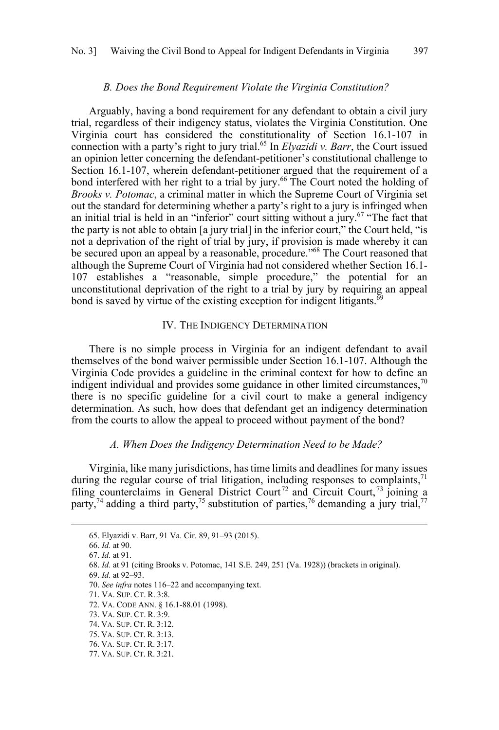#### *B. Does the Bond Requirement Violate the Virginia Constitution?*

<span id="page-8-0"></span>Arguably, having a bond requirement for any defendant to obtain a civil jury trial, regardless of their indigency status, violates the Virginia Constitution. One Virginia court has considered the constitutionality of Section 16.1-107 in connection with a party's right to jury trial.65 In *Elyazidi v. Barr*, the Court issued an opinion letter concerning the defendant-petitioner's constitutional challenge to Section 16.1-107, wherein defendant-petitioner argued that the requirement of a bond interfered with her right to a trial by jury.<sup>66</sup> The Court noted the holding of *Brooks v. Potomac*, a criminal matter in which the Supreme Court of Virginia set out the standard for determining whether a party's right to a jury is infringed when an initial trial is held in an "inferior" court sitting without a jury. $67$  "The fact that the party is not able to obtain [a jury trial] in the inferior court," the Court held, "is not a deprivation of the right of trial by jury, if provision is made whereby it can be secured upon an appeal by a reasonable, procedure."<sup>68</sup> The Court reasoned that although the Supreme Court of Virginia had not considered whether Section 16.1- 107 establishes a "reasonable, simple procedure," the potential for an unconstitutional deprivation of the right to a trial by jury by requiring an appeal bond is saved by virtue of the existing exception for indigent litigants.  $\delta$ <sup>5</sup>

### IV. THE INDIGENCY DETERMINATION

There is no simple process in Virginia for an indigent defendant to avail themselves of the bond waiver permissible under Section 16.1-107. Although the Virginia Code provides a guideline in the criminal context for how to define an indigent individual and provides some guidance in other limited circumstances,  $70$ there is no specific guideline for a civil court to make a general indigency determination. As such, how does that defendant get an indigency determination from the courts to allow the appeal to proceed without payment of the bond?

### *A. When Does the Indigency Determination Need to be Made?*

Virginia, like many jurisdictions, has time limits and deadlines for many issues during the regular course of trial litigation, including responses to complaints, $71$ filing counterclaims in General District Court<sup>72</sup> and Circuit Court,<sup>73</sup> joining a party,<sup>74</sup> adding a third party,<sup>75</sup> substitution of parties,<sup>76</sup> demanding a jury trial,<sup>77</sup>

76. VA. SUP. CT. R. 3:17.

<sup>65.</sup> Elyazidi v. Barr, 91 Va. Cir. 89, 91–93 (2015).

<sup>66.</sup> *Id.* at 90.

<sup>67.</sup> *Id.* at 91.

<sup>68.</sup> *Id.* at 91 (citing Brooks v. Potomac, 141 S.E. 249, 251 (Va. 1928)) (brackets in original).

<sup>69.</sup> *Id.* at 92–93.

<sup>70.</sup> *See infra* notes 116–22 and accompanying text.

<sup>71.</sup> VA. SUP. CT. R. 3:8.

<sup>72.</sup> VA. CODE ANN. § 16.1-88.01 (1998).

<sup>73.</sup> VA. SUP. CT. R. 3:9.

<sup>74.</sup> VA. SUP. CT. R. 3:12.

<sup>75.</sup> VA. SUP. CT. R. 3:13.

<sup>77.</sup> VA. SUP. CT. R. 3:21.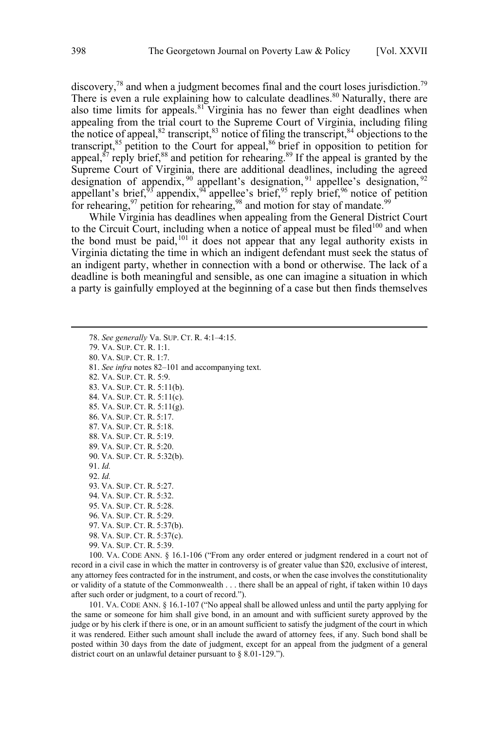discovery,<sup>78</sup> and when a judgment becomes final and the court loses jurisdiction.<sup>79</sup> There is even a rule explaining how to calculate deadlines.<sup>80</sup> Naturally, there are also time limits for appeals.<sup>81</sup> Virginia has no fewer than eight deadlines when appealing from the trial court to the Supreme Court of Virginia, including filing the notice of appeal,<sup>82</sup> transcript,<sup>83</sup> notice of filing the transcript,<sup>84</sup> objections to the transcript,<sup>85</sup> petition to the Court for appeal,<sup>86</sup> brief in opposition to petition for appeal,  $87$  reply brief,  $88$  and petition for rehearing.  $89$  If the appeal is granted by the Supreme Court of Virginia, there are additional deadlines, including the agreed designation of appendix,  $90$  appellant's designation,  $91$  appellee's designation,  $92$ appellant's brief,<sup>93</sup> appendix,  $94^4$  appellee's brief,  $95^5$  reply brief,  $96^6$  notice of petition for rehearing,  $97$  petition for rehearing,  $98$  and motion for stay of mandate.  $99$ 

While Virginia has deadlines when appealing from the General District Court to the Circuit Court, including when a notice of appeal must be filed<sup>100</sup> and when the bond must be paid,  $101$  it does not appear that any legal authority exists in Virginia dictating the time in which an indigent defendant must seek the status of an indigent party, whether in connection with a bond or otherwise. The lack of a deadline is both meaningful and sensible, as one can imagine a situation in which a party is gainfully employed at the beginning of a case but then finds themselves

78. *See generally* Va. SUP. CT. R. 4:1–4:15. 79. VA. SUP. CT. R. 1:1. 80. VA. SUP. CT. R. 1:7. 81. *See infra* notes 82–101 and accompanying text. 82. VA. SUP. CT. R. 5:9. 83. VA. SUP. CT. R. 5:11(b). 84. VA. SUP. CT. R. 5:11(c). 85. VA. SUP. CT. R. 5:11(g). 86. VA. SUP. CT. R. 5:17. 87. VA. SUP. CT. R. 5:18. 88. VA. SUP. CT. R. 5:19. 89. VA. SUP. CT. R. 5:20. 90. VA. SUP. CT. R. 5:32(b). 91. *Id.* 92. *Id.* 93. VA. SUP. CT. R. 5:27. 94. VA. SUP. CT. R. 5:32. 95. VA. SUP. CT. R. 5:28. 96. VA. SUP. CT. R. 5:29. 97. VA. SUP. CT. R. 5:37(b). 98. VA. SUP. CT. R. 5:37(c). 99. VA. SUP. CT. R. 5:39.

100. VA. CODE ANN. § 16.1-106 ("From any order entered or judgment rendered in a court not of record in a civil case in which the matter in controversy is of greater value than \$20, exclusive of interest, any attorney fees contracted for in the instrument, and costs, or when the case involves the constitutionality or validity of a statute of the Commonwealth . . . there shall be an appeal of right, if taken within 10 days after such order or judgment, to a court of record.").

101. VA. CODE ANN. § 16.1-107 ("No appeal shall be allowed unless and until the party applying for the same or someone for him shall give bond, in an amount and with sufficient surety approved by the judge or by his clerk if there is one, or in an amount sufficient to satisfy the judgment of the court in which it was rendered. Either such amount shall include the award of attorney fees, if any. Such bond shall be posted within 30 days from the date of judgment, except for an appeal from the judgment of a general district court on an unlawful detainer pursuant to § 8.01-129.").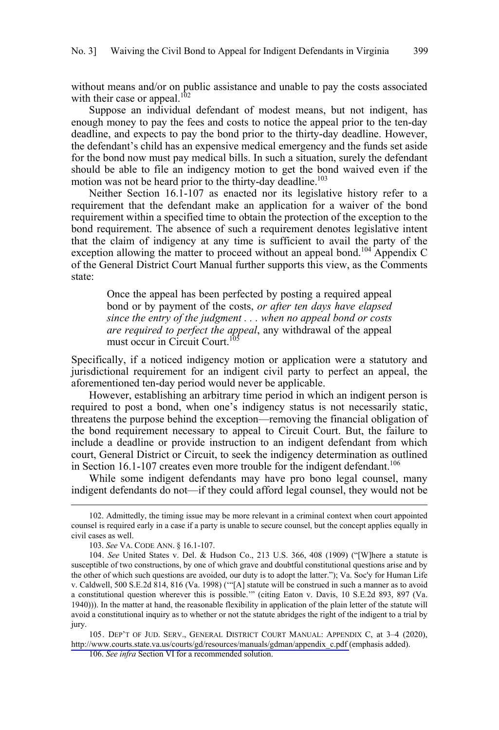without means and/or on public assistance and unable to pay the costs associated with their case or appeal.<sup>102</sup>

Suppose an individual defendant of modest means, but not indigent, has enough money to pay the fees and costs to notice the appeal prior to the ten-day deadline, and expects to pay the bond prior to the thirty-day deadline. However, the defendant's child has an expensive medical emergency and the funds set aside for the bond now must pay medical bills. In such a situation, surely the defendant should be able to file an indigency motion to get the bond waived even if the motion was not be heard prior to the thirty-day deadline.<sup>103</sup>

Neither Section 16.1-107 as enacted nor its legislative history refer to a requirement that the defendant make an application for a waiver of the bond requirement within a specified time to obtain the protection of the exception to the bond requirement. The absence of such a requirement denotes legislative intent that the claim of indigency at any time is sufficient to avail the party of the exception allowing the matter to proceed without an appeal bond.<sup>104</sup> Appendix C of the General District Court Manual further supports this view, as the Comments state:

Once the appeal has been perfected by posting a required appeal bond or by payment of the costs, *or after ten days have elapsed since the entry of the judgment . . . when no appeal bond or costs are required to perfect the appeal*, any withdrawal of the appeal must occur in Circuit Court.<sup>10</sup>

Specifically, if a noticed indigency motion or application were a statutory and jurisdictional requirement for an indigent civil party to perfect an appeal, the aforementioned ten-day period would never be applicable.

However, establishing an arbitrary time period in which an indigent person is required to post a bond, when one's indigency status is not necessarily static, threatens the purpose behind the exception—removing the financial obligation of the bond requirement necessary to appeal to Circuit Court. But, the failure to include a deadline or provide instruction to an indigent defendant from which court, General District or Circuit, to seek the indigency determination as outlined in Section 16.1-107 creates even more trouble for the indigent defendant.<sup>106</sup>

While some indigent defendants may have pro bono legal counsel, many indigent defendants do not—if they could afford legal counsel, they would not be

105. DEP'T OF JUD. SERV., GENERAL DISTRICT COURT MANUAL: APPENDIX C, at 3-4 (2020), [http://www.courts.state.va.us/courts/gd/resources/manuals/gdman/appendix\\_c.pdf \(](http://www.courts.state.va.us/courts/gd/resources/manuals/gdman/appendix_c.pdf)emphasis added).

106. *See infra* Section VI for a recommended solution.

<sup>102.</sup> Admittedly, the timing issue may be more relevant in a criminal context when court appointed counsel is required early in a case if a party is unable to secure counsel, but the concept applies equally in civil cases as well.

<sup>103.</sup> *See* VA. CODE ANN. § 16.1-107.

<sup>104.</sup> *See* United States v. Del. & Hudson Co., 213 U.S. 366, 408 (1909) ("[W]here a statute is susceptible of two constructions, by one of which grave and doubtful constitutional questions arise and by the other of which such questions are avoided, our duty is to adopt the latter."); Va. Soc'y for Human Life v. Caldwell, 500 S.E.2d 814, 816 (Va. 1998) ('"[A] statute will be construed in such a manner as to avoid a constitutional question wherever this is possible.'" (citing Eaton v. Davis, 10 S.E.2d 893, 897 (Va. 1940))). In the matter at hand, the reasonable flexibility in application of the plain letter of the statute will avoid a constitutional inquiry as to whether or not the statute abridges the right of the indigent to a trial by jury.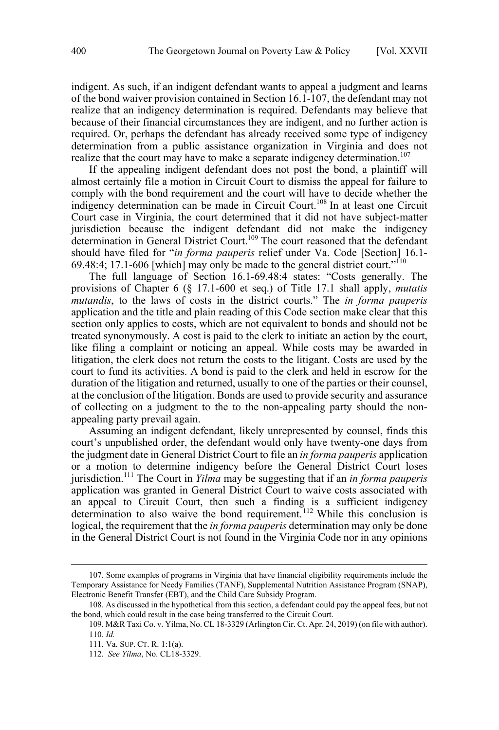indigent. As such, if an indigent defendant wants to appeal a judgment and learns of the bond waiver provision contained in Section 16.1-107, the defendant may not realize that an indigency determination is required. Defendants may believe that because of their financial circumstances they are indigent, and no further action is required. Or, perhaps the defendant has already received some type of indigency determination from a public assistance organization in Virginia and does not realize that the court may have to make a separate indigency determination.<sup>107</sup>

If the appealing indigent defendant does not post the bond, a plaintiff will almost certainly file a motion in Circuit Court to dismiss the appeal for failure to comply with the bond requirement and the court will have to decide whether the indigency determination can be made in Circuit Court.<sup>108</sup> In at least one Circuit Court case in Virginia, the court determined that it did not have subject-matter jurisdiction because the indigent defendant did not make the indigency determination in General District Court.109 The court reasoned that the defendant should have filed for "*in forma pauperis* relief under Va. Code [Section] 16.1- 69.48:4; 17.1-606 [which] may only be made to the general district court.<sup> $110$ </sup>

The full language of Section 16.1-69.48:4 states: "Costs generally. The provisions of Chapter 6 (§ 17.1-600 et seq.) of Title 17.1 shall apply, *mutatis mutandis*, to the laws of costs in the district courts." The *in forma pauperis* application and the title and plain reading of this Code section make clear that this section only applies to costs, which are not equivalent to bonds and should not be treated synonymously. A cost is paid to the clerk to initiate an action by the court, like filing a complaint or noticing an appeal. While costs may be awarded in litigation, the clerk does not return the costs to the litigant. Costs are used by the court to fund its activities. A bond is paid to the clerk and held in escrow for the duration of the litigation and returned, usually to one of the parties or their counsel, at the conclusion of the litigation. Bonds are used to provide security and assurance of collecting on a judgment to the to the non-appealing party should the nonappealing party prevail again.

Assuming an indigent defendant, likely unrepresented by counsel, finds this court's unpublished order, the defendant would only have twenty-one days from the judgment date in General District Court to file an *in forma pauperis* application or a motion to determine indigency before the General District Court loses jurisdiction.111 The Court in *Yilma* may be suggesting that if an *in forma pauperis*  application was granted in General District Court to waive costs associated with an appeal to Circuit Court, then such a finding is a sufficient indigency determination to also waive the bond requirement.<sup>112</sup> While this conclusion is logical, the requirement that the *in forma pauperis* determination may only be done in the General District Court is not found in the Virginia Code nor in any opinions

<sup>107.</sup>  Some examples of programs in Virginia that have financial eligibility requirements include the Temporary Assistance for Needy Families (TANF), Supplemental Nutrition Assistance Program (SNAP), Electronic Benefit Transfer (EBT), and the Child Care Subsidy Program.

<sup>108.</sup> As discussed in the hypothetical from this section, a defendant could pay the appeal fees, but not the bond, which could result in the case being transferred to the Circuit Court.

<sup>109.</sup> M&R Taxi Co. v. Yilma, No. CL 18-3329 (Arlington Cir. Ct. Apr. 24, 2019) (on file with author). 110. *Id.*

<sup>111.</sup> Va. SUP. CT. R. 1:1(a).

<sup>112.</sup> *See Yilma*, No. CL18-3329.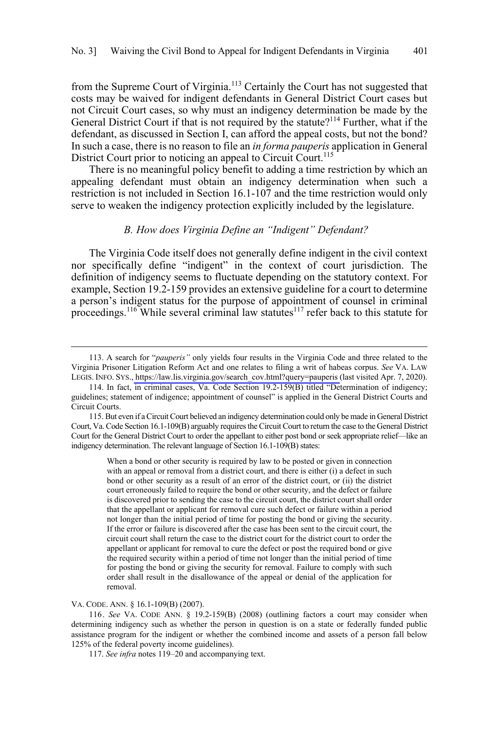<span id="page-12-0"></span>from the Supreme Court of Virginia.<sup>113</sup> Certainly the Court has not suggested that costs may be waived for indigent defendants in General District Court cases but not Circuit Court cases, so why must an indigency determination be made by the General District Court if that is not required by the statute?<sup>114</sup> Further, what if the defendant, as discussed in Section I, can afford the appeal costs, but not the bond? In such a case, there is no reason to file an *in forma pauperis* application in General District Court prior to noticing an appeal to Circuit Court.<sup>115</sup>

There is no meaningful policy benefit to adding a time restriction by which an appealing defendant must obtain an indigency determination when such a restriction is not included in Section 16.1-107 and the time restriction would only serve to weaken the indigency protection explicitly included by the legislature.

#### *B. How does Virginia Define an "Indigent" Defendant?*

The Virginia Code itself does not generally define indigent in the civil context nor specifically define "indigent" in the context of court jurisdiction. The definition of indigency seems to fluctuate depending on the statutory context. For example, Section 19.2-159 provides an extensive guideline for a court to determine a person's indigent status for the purpose of appointment of counsel in criminal proceedings.<sup>116</sup> While several criminal law statutes<sup>117</sup> refer back to this statute for

VA. CODE. ANN. § 16.1-109(B) (2007).

 $\overline{a}$ 

116. *See* VA. CODE ANN. § 19.2-159(B) (2008) (outlining factors a court may consider when determining indigency such as whether the person in question is on a state or federally funded public assistance program for the indigent or whether the combined income and assets of a person fall below 125% of the federal poverty income guidelines).

117. *See infra* notes 119–20 and accompanying text.

<sup>113.</sup> A search for "*pauperis*" only yields four results in the Virginia Code and three related to the Virginia Prisoner Litigation Reform Act and one relates to filing a writ of habeas corpus. *See* VA. LAW LEGIS. INFO. SYS., [https://law.lis.virginia.gov/search\\_cov.html?query=pauperis \(](https://law.lis.virginia.gov/search_cov.html?query=pauperis)last visited Apr. 7, 2020).

<sup>114.</sup> In fact, in criminal cases, Va. Code Section 19.2-159(B) titled "Determination of indigency; guidelines; statement of indigence; appointment of counsel" is applied in the General District Courts and Circuit Courts.

<sup>115.</sup> But even if a Circuit Court believed an indigency determination could only be made in General District Court, Va. Code Section 16.1-109(B) arguably requires the Circuit Court to return the case to the General District Court for the General District Court to order the appellant to either post bond or seek appropriate relief—like an indigency determination. The relevant language of Section 16.1-109(B) states:

When a bond or other security is required by law to be posted or given in connection with an appeal or removal from a district court, and there is either (i) a defect in such bond or other security as a result of an error of the district court, or (ii) the district court erroneously failed to require the bond or other security, and the defect or failure is discovered prior to sending the case to the circuit court, the district court shall order that the appellant or applicant for removal cure such defect or failure within a period not longer than the initial period of time for posting the bond or giving the security. If the error or failure is discovered after the case has been sent to the circuit court, the circuit court shall return the case to the district court for the district court to order the appellant or applicant for removal to cure the defect or post the required bond or give the required security within a period of time not longer than the initial period of time for posting the bond or giving the security for removal. Failure to comply with such order shall result in the disallowance of the appeal or denial of the application for removal.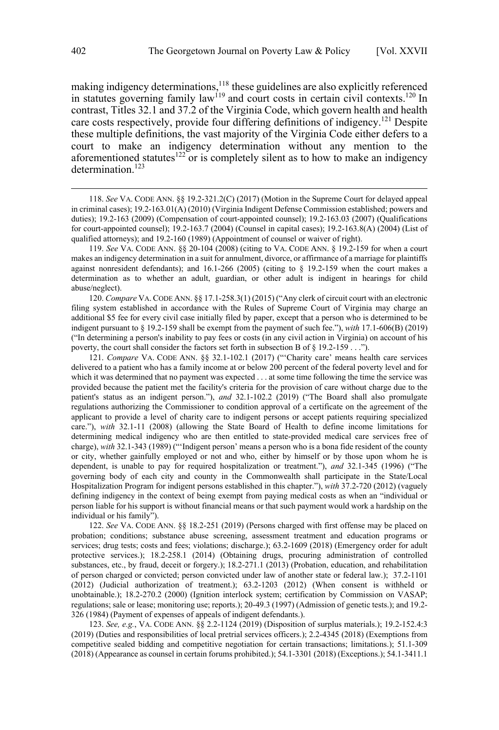making indigency determinations,<sup>118</sup> these guidelines are also explicitly referenced in statutes governing family law<sup>119</sup> and court costs in certain civil contexts.<sup>120</sup> In contrast, Titles 32.1 and 37.2 of the Virginia Code, which govern health and health care costs respectively, provide four differing definitions of indigency.<sup>121</sup> Despite these multiple definitions, the vast majority of the Virginia Code either defers to a court to make an indigency determination without any mention to the aforementioned statutes<sup>122</sup> or is completely silent as to how to make an indigency determination.<sup>123</sup>

120. *Compare* VA.CODE ANN. §§ 17.1-258.3(1) (2015) ("Any clerk of circuit court with an electronic filing system established in accordance with the Rules of Supreme Court of Virginia may charge an additional \$5 fee for every civil case initially filed by paper, except that a person who is determined to be indigent pursuant to § 19.2-159 shall be exempt from the payment of such fee."), *with* 17.1-606(B) (2019) ("In determining a person's inability to pay fees or costs (in any civil action in Virginia) on account of his poverty, the court shall consider the factors set forth in subsection B of § 19.2-159 . . .").

121. *Compare* VA. CODE ANN. §§ 32.1-102.1 (2017) ("'Charity care' means health care services delivered to a patient who has a family income at or below 200 percent of the federal poverty level and for which it was determined that no payment was expected . . . at some time following the time the service was provided because the patient met the facility's criteria for the provision of care without charge due to the patient's status as an indigent person."), *and* 32.1-102.2 (2019) ("The Board shall also promulgate regulations authorizing the Commissioner to condition approval of a certificate on the agreement of the applicant to provide a level of charity care to indigent persons or accept patients requiring specialized care."), *with* 32.1-11 (2008) (allowing the State Board of Health to define income limitations for determining medical indigency who are then entitled to state-provided medical care services free of charge), *with* 32.1-343 (1989) ("'Indigent person' means a person who is a bona fide resident of the county or city, whether gainfully employed or not and who, either by himself or by those upon whom he is dependent, is unable to pay for required hospitalization or treatment."), *and* 32.1-345 (1996) ("The governing body of each city and county in the Commonwealth shall participate in the State/Local Hospitalization Program for indigent persons established in this chapter."), *with* 37.2-720 (2012) (vaguely defining indigency in the context of being exempt from paying medical costs as when an "individual or person liable for his support is without financial means or that such payment would work a hardship on the individual or his family").

122. *See* VA. CODE ANN. §§ 18.2-251 (2019) (Persons charged with first offense may be placed on probation; conditions; substance abuse screening, assessment treatment and education programs or services; drug tests; costs and fees; violations; discharge.); 63.2-1609 (2018) (Emergency order for adult protective services.); 18.2-258.1 (2014) (Obtaining drugs, procuring administration of controlled substances, etc., by fraud, deceit or forgery.); 18.2-271.1 (2013) (Probation, education, and rehabilitation of person charged or convicted; person convicted under law of another state or federal law.); 37.2-1101 (2012) (Judicial authorization of treatment.); 63.2-1203 (2012) (When consent is withheld or unobtainable.); 18.2-270.2 (2000) (Ignition interlock system; certification by Commission on VASAP; regulations; sale or lease; monitoring use; reports.); 20-49.3 (1997) (Admission of genetic tests.); and 19.2- 326 (1984) (Payment of expenses of appeals of indigent defendants.).

123. *See, e.g.*, VA. CODE ANN. §§ 2.2-1124 (2019) (Disposition of surplus materials.); 19.2-152.4:3 (2019) (Duties and responsibilities of local pretrial services officers.); 2.2-4345 (2018) (Exemptions from competitive sealed bidding and competitive negotiation for certain transactions; limitations.); 51.1-309 (2018) (Appearance as counsel in certain forums prohibited.); 54.1-3301 (2018) (Exceptions.); 54.1-3411.1

<sup>118.</sup>  *See* VA. CODE ANN. §§ 19.2-321.2(C) (2017) (Motion in the Supreme Court for delayed appeal in criminal cases); 19.2-163.01(A) (2010) (Virginia Indigent Defense Commission established; powers and duties); 19.2-163 (2009) (Compensation of court-appointed counsel); 19.2-163.03 (2007) (Qualifications for court-appointed counsel); 19.2-163.7 (2004) (Counsel in capital cases); 19.2-163.8(A) (2004) (List of qualified attorneys); and 19.2-160 (1989) (Appointment of counsel or waiver of right).

<sup>119.</sup> *See* VA. CODE ANN. §§ 20-104 (2008) (citing to VA. CODE ANN. § 19.2-159 for when a court makes an indigency determination in a suit for annulment, divorce, or affirmance of a marriage for plaintiffs against nonresident defendants); and 16.1-266 (2005) (citing to § 19.2-159 when the court makes a determination as to whether an adult, guardian, or other adult is indigent in hearings for child abuse/neglect).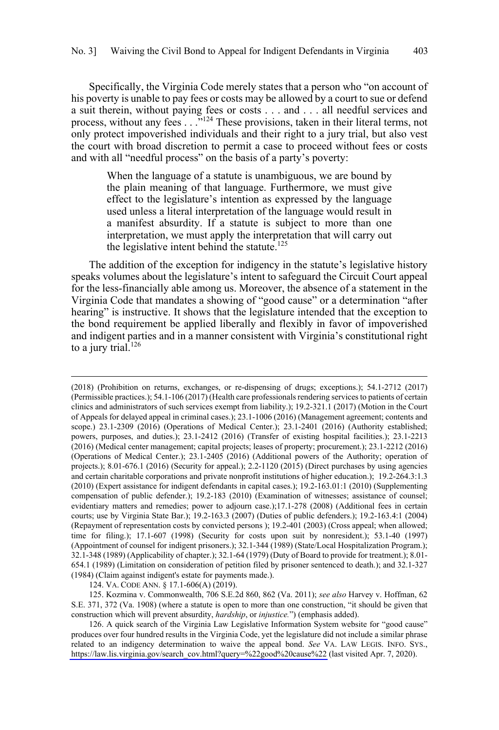Specifically, the Virginia Code merely states that a person who "on account of his poverty is unable to pay fees or costs may be allowed by a court to sue or defend a suit therein, without paying fees or costs . . . and . . . all needful services and process, without any fees . . .<sup>"124</sup> These provisions, taken in their literal terms, not only protect impoverished individuals and their right to a jury trial, but also vest the court with broad discretion to permit a case to proceed without fees or costs and with all "needful process" on the basis of a party's poverty:

When the language of a statute is unambiguous, we are bound by the plain meaning of that language. Furthermore, we must give effect to the legislature's intention as expressed by the language used unless a literal interpretation of the language would result in a manifest absurdity. If a statute is subject to more than one interpretation, we must apply the interpretation that will carry out the legislative intent behind the statute.<sup>125</sup>

The addition of the exception for indigency in the statute's legislative history speaks volumes about the legislature's intent to safeguard the Circuit Court appeal for the less-financially able among us. Moreover, the absence of a statement in the Virginia Code that mandates a showing of "good cause" or a determination "after hearing" is instructive. It shows that the legislature intended that the exception to the bond requirement be applied liberally and flexibly in favor of impoverished and indigent parties and in a manner consistent with Virginia's constitutional right to a jury trial. $126$ 

124. VA. CODE ANN. § 17.1-606(A) (2019).

 $\overline{a}$ 

125. Kozmina v. Commonwealth, 706 S.E.2d 860, 862 (Va. 2011); *see also* Harvey v. Hoffman, 62 S.E. 371, 372 (Va. 1908) (where a statute is open to more than one construction, "it should be given that construction which will prevent absurdity, *hardship*, or *injustice.*") (emphasis added).

<sup>(2018) (</sup>Prohibition on returns, exchanges, or re-dispensing of drugs; exceptions.); 54.1-2712 (2017) (Permissible practices.); 54.1-106 (2017) (Health care professionals rendering services to patients of certain clinics and administrators of such services exempt from liability.); 19.2-321.1 (2017) (Motion in the Court of Appeals for delayed appeal in criminal cases.); 23.1-1006 (2016) (Management agreement; contents and scope.) 23.1-2309 (2016) (Operations of Medical Center.); 23.1-2401 (2016) (Authority established; powers, purposes, and duties.); 23.1-2412 (2016) (Transfer of existing hospital facilities.); 23.1-2213 (2016) (Medical center management; capital projects; leases of property; procurement.); 23.1-2212 (2016) (Operations of Medical Center.); 23.1-2405 (2016) (Additional powers of the Authority; operation of projects.); 8.01-676.1 (2016) (Security for appeal.); 2.2-1120 (2015) (Direct purchases by using agencies and certain charitable corporations and private nonprofit institutions of higher education.); 19.2-264.3:1.3 (2010) (Expert assistance for indigent defendants in capital cases.); 19.2-163.01:1 (2010) (Supplementing compensation of public defender.); 19.2-183 (2010) (Examination of witnesses; assistance of counsel; evidentiary matters and remedies; power to adjourn case.);17.1-278 (2008) (Additional fees in certain courts; use by Virginia State Bar.); 19.2-163.3 (2007) (Duties of public defenders.); 19.2-163.4:1 (2004) (Repayment of representation costs by convicted persons ); 19.2-401 (2003) (Cross appeal; when allowed; time for filing.); 17.1-607 (1998) (Security for costs upon suit by nonresident.); 53.1-40 (1997) (Appointment of counsel for indigent prisoners.); 32.1-344 (1989) (State/Local Hospitalization Program.); 32.1-348 (1989) (Applicability of chapter.); 32.1-64 (1979) (Duty of Board to provide for treatment.); 8.01- 654.1 (1989) (Limitation on consideration of petition filed by prisoner sentenced to death.); and 32.1-327 (1984) (Claim against indigent's estate for payments made.).

<sup>126.</sup> A quick search of the Virginia Law Legislative Information System website for "good cause" produces over four hundred results in the Virginia Code, yet the legislature did not include a similar phrase related to an indigency determination to waive the appeal bond. *See* VA. LAW LEGIS. INFO. SYS., [https://law.lis.virginia.gov/search\\_cov.html?query=%22good%20cause%22](https://law.lis.virginia.gov/search_cov.html?query=%22good%20cause%22) (last visited Apr. 7, 2020).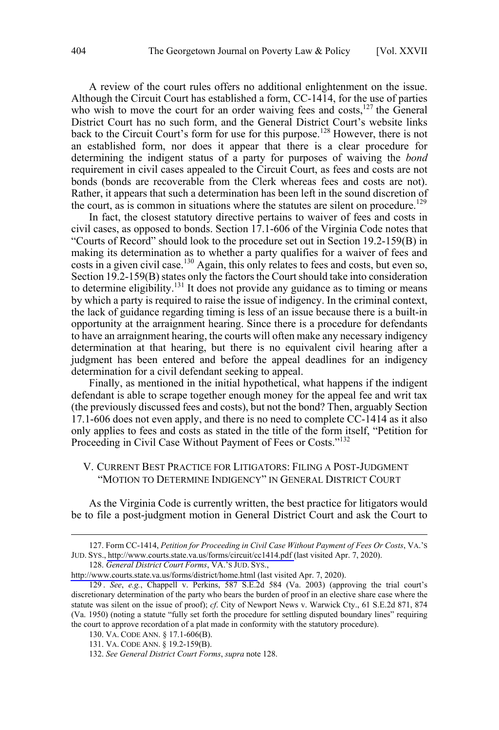<span id="page-15-0"></span>A review of the court rules offers no additional enlightenment on the issue. Although the Circuit Court has established a form, CC-1414, for the use of parties who wish to move the court for an order waiving fees and costs, $127$  the General District Court has no such form, and the General District Court's website links back to the Circuit Court's form for use for this purpose.<sup>128</sup> However, there is not an established form, nor does it appear that there is a clear procedure for determining the indigent status of a party for purposes of waiving the *bond* requirement in civil cases appealed to the Circuit Court, as fees and costs are not bonds (bonds are recoverable from the Clerk whereas fees and costs are not). Rather, it appears that such a determination has been left in the sound discretion of the court, as is common in situations where the statutes are silent on procedure.<sup>129</sup>

In fact, the closest statutory directive pertains to waiver of fees and costs in civil cases, as opposed to bonds. Section 17.1-606 of the Virginia Code notes that "Courts of Record" should look to the procedure set out in Section 19.2-159(B) in making its determination as to whether a party qualifies for a waiver of fees and costs in a given civil case.<sup>130</sup> Again, this only relates to fees and costs, but even so, Section 19.2-159(B) states only the factors the Court should take into consideration to determine eligibility.<sup>131</sup> It does not provide any guidance as to timing or means by which a party is required to raise the issue of indigency. In the criminal context, the lack of guidance regarding timing is less of an issue because there is a built-in opportunity at the arraignment hearing. Since there is a procedure for defendants to have an arraignment hearing, the courts will often make any necessary indigency determination at that hearing, but there is no equivalent civil hearing after a judgment has been entered and before the appeal deadlines for an indigency determination for a civil defendant seeking to appeal.

Finally, as mentioned in the initial hypothetical, what happens if the indigent defendant is able to scrape together enough money for the appeal fee and writ tax (the previously discussed fees and costs), but not the bond? Then, arguably Section 17.1-606 does not even apply, and there is no need to complete CC-1414 as it also only applies to fees and costs as stated in the title of the form itself, "Petition for Proceeding in Civil Case Without Payment of Fees or Costs."<sup>132</sup>

### V. CURRENT BEST PRACTICE FOR LITIGATORS: FILING A POST-JUDGMENT "MOTION TO DETERMINE INDIGENCY" IN GENERAL DISTRICT COURT

As the Virginia Code is currently written, the best practice for litigators would be to file a post-judgment motion in General District Court and ask the Court to

Form CC-1414, *Petition for Proceeding in Civil Case Without Payment of Fees Or Costs*, VA.'S 127. JUD. SYS., [http://www.courts.state.va.us/forms/circuit/cc1414.pdf \(](http://www.courts.state.va.us/forms/circuit/cc1414.pdf)last visited Apr. 7, 2020).

<sup>128.</sup> General District Court Forms, VA.'s JUD. SYS.,

<http://www.courts.state.va.us/forms/district/home.html>(last visited Apr. 7, 2020).

<sup>129 .</sup> *See*, *e.g.*, Chappell v. Perkins, 587 S.E.2d 584 (Va. 2003) (approving the trial court's discretionary determination of the party who bears the burden of proof in an elective share case where the statute was silent on the issue of proof); *cf*. City of Newport News v. Warwick Cty., 61 S.E.2d 871, 874 (Va. 1950) (noting a statute "fully set forth the procedure for settling disputed boundary lines" requiring the court to approve recordation of a plat made in conformity with the statutory procedure).

<sup>130.</sup> VA. CODE ANN. § 17.1-606(B).

<sup>131.</sup> VA. CODE ANN. § 19.2-159(B).

<sup>132.</sup> *See General District Court Forms*, *supra* note 128.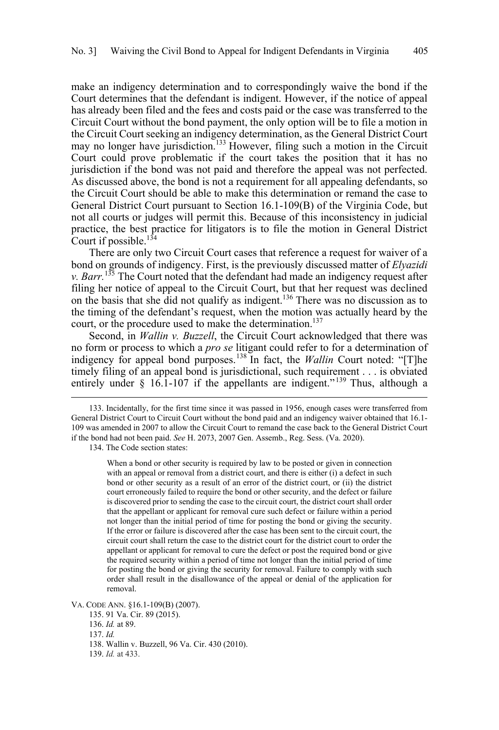make an indigency determination and to correspondingly waive the bond if the Court determines that the defendant is indigent. However, if the notice of appeal has already been filed and the fees and costs paid or the case was transferred to the Circuit Court without the bond payment, the only option will be to file a motion in the Circuit Court seeking an indigency determination, as the General District Court may no longer have jurisdiction.<sup>133</sup> However, filing such a motion in the Circuit Court could prove problematic if the court takes the position that it has no jurisdiction if the bond was not paid and therefore the appeal was not perfected. As discussed above, the bond is not a requirement for all appealing defendants, so the Circuit Court should be able to make this determination or remand the case to General District Court pursuant to Section 16.1-109(B) of the Virginia Code, but not all courts or judges will permit this. Because of this inconsistency in judicial practice, the best practice for litigators is to file the motion in General District Court if possible.<sup>134</sup>

There are only two Circuit Court cases that reference a request for waiver of a bond on grounds of indigency. First, is the previously discussed matter of *Elyazidi v. Barr.*<sup>135</sup> The Court noted that the defendant had made an indigency request after filing her notice of appeal to the Circuit Court, but that her request was declined on the basis that she did not qualify as indigent.<sup>136</sup> There was no discussion as to the timing of the defendant's request, when the motion was actually heard by the court, or the procedure used to make the determination.<sup>137</sup>

Second, in *Wallin v. Buzzell*, the Circuit Court acknowledged that there was no form or process to which a *pro se* litigant could refer to for a determination of indigency for appeal bond purposes.<sup>138</sup> In fact, the *Wallin* Court noted: "[T]he timely filing of an appeal bond is jurisdictional, such requirement . . . is obviated entirely under § 16.1-107 if the appellants are indigent."<sup>139</sup> Thus, although a

134. The Code section states:

When a bond or other security is required by law to be posted or given in connection with an appeal or removal from a district court, and there is either (i) a defect in such bond or other security as a result of an error of the district court, or (ii) the district court erroneously failed to require the bond or other security, and the defect or failure is discovered prior to sending the case to the circuit court, the district court shall order that the appellant or applicant for removal cure such defect or failure within a period not longer than the initial period of time for posting the bond or giving the security. If the error or failure is discovered after the case has been sent to the circuit court, the circuit court shall return the case to the district court for the district court to order the appellant or applicant for removal to cure the defect or post the required bond or give the required security within a period of time not longer than the initial period of time for posting the bond or giving the security for removal. Failure to comply with such order shall result in the disallowance of the appeal or denial of the application for removal.

VA. CODE ANN. §16.1-109(B) (2007).

137. *Id.* 

139. *Id.* at 433.

<sup>133.</sup> Incidentally, for the first time since it was passed in 1956, enough cases were transferred from General District Court to Circuit Court without the bond paid and an indigency waiver obtained that 16.1- 109 was amended in 2007 to allow the Circuit Court to remand the case back to the General District Court if the bond had not been paid. *See* H. 2073, 2007 Gen. Assemb., Reg. Sess. (Va. 2020).

<sup>135. 91</sup> Va. Cir. 89 (2015).

<sup>136.</sup> *Id.* at 89.

<sup>138.</sup> Wallin v. Buzzell, 96 Va. Cir. 430 (2010).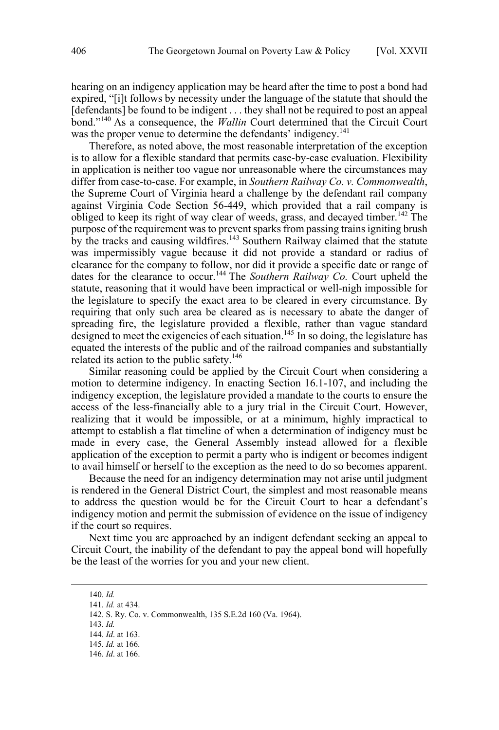hearing on an indigency application may be heard after the time to post a bond had expired, "[i]t follows by necessity under the language of the statute that should the [defendants] be found to be indigent . . . they shall not be required to post an appeal bond."140 As a consequence, the *Wallin* Court determined that the Circuit Court was the proper venue to determine the defendants' indigency.<sup>141</sup>

Therefore, as noted above, the most reasonable interpretation of the exception is to allow for a flexible standard that permits case-by-case evaluation. Flexibility in application is neither too vague nor unreasonable where the circumstances may differ from case-to-case. For example, in *Southern Railway Co. v. Commonwealth*, the Supreme Court of Virginia heard a challenge by the defendant rail company against Virginia Code Section 56-449, which provided that a rail company is obliged to keep its right of way clear of weeds, grass, and decayed timber.<sup>142</sup> The purpose of the requirement was to prevent sparks from passing trains igniting brush by the tracks and causing wildfires.<sup>143</sup> Southern Railway claimed that the statute was impermissibly vague because it did not provide a standard or radius of clearance for the company to follow, nor did it provide a specific date or range of dates for the clearance to occur.<sup>144</sup> The *Southern Railway Co.* Court upheld the statute, reasoning that it would have been impractical or well-nigh impossible for the legislature to specify the exact area to be cleared in every circumstance. By requiring that only such area be cleared as is necessary to abate the danger of spreading fire, the legislature provided a flexible, rather than vague standard designed to meet the exigencies of each situation.<sup>145</sup> In so doing, the legislature has equated the interests of the public and of the railroad companies and substantially related its action to the public safety.<sup>146</sup>

Similar reasoning could be applied by the Circuit Court when considering a motion to determine indigency. In enacting Section 16.1-107, and including the indigency exception, the legislature provided a mandate to the courts to ensure the access of the less-financially able to a jury trial in the Circuit Court. However, realizing that it would be impossible, or at a minimum, highly impractical to attempt to establish a flat timeline of when a determination of indigency must be made in every case, the General Assembly instead allowed for a flexible application of the exception to permit a party who is indigent or becomes indigent to avail himself or herself to the exception as the need to do so becomes apparent.

Because the need for an indigency determination may not arise until judgment is rendered in the General District Court, the simplest and most reasonable means to address the question would be for the Circuit Court to hear a defendant's indigency motion and permit the submission of evidence on the issue of indigency if the court so requires.

Next time you are approached by an indigent defendant seeking an appeal to Circuit Court, the inability of the defendant to pay the appeal bond will hopefully be the least of the worries for you and your new client.

<sup>140.</sup>  *Id.*

<sup>141.</sup> *Id.* at 434.

<sup>142.</sup> S. Ry. Co. v. Commonwealth, 135 S.E.2d 160 (Va. 1964).

<sup>143.</sup> *Id.*

<sup>144.</sup> *Id*. at 163.

<sup>145.</sup> *Id.* at 166.

<sup>146.</sup> *Id*. at 166.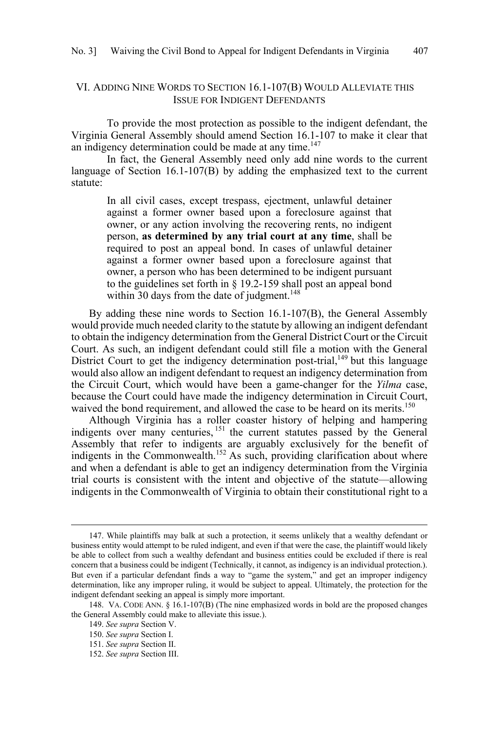## <span id="page-18-0"></span>VI. ADDING NINE WORDS TO SECTION 16.1-107(B) WOULD ALLEVIATE THIS ISSUE FOR INDIGENT DEFENDANTS

To provide the most protection as possible to the indigent defendant, the Virginia General Assembly should amend Section 16.1-107 to make it clear that an indigency determination could be made at any time.<sup>147</sup>

In fact, the General Assembly need only add nine words to the current language of Section 16.1-107(B) by adding the emphasized text to the current statute:

In all civil cases, except trespass, ejectment, unlawful detainer against a former owner based upon a foreclosure against that owner, or any action involving the recovering rents, no indigent person, **as determined by any trial court at any time**, shall be required to post an appeal bond. In cases of unlawful detainer against a former owner based upon a foreclosure against that owner, a person who has been determined to be indigent pursuant to the guidelines set forth in § 19.2-159 shall post an appeal bond within 30 days from the date of judgment. $148$ 

By adding these nine words to Section 16.1-107(B), the General Assembly would provide much needed clarity to the statute by allowing an indigent defendant to obtain the indigency determination from the General District Court or the Circuit Court. As such, an indigent defendant could still file a motion with the General District Court to get the indigency determination post-trial, $149$  but this language would also allow an indigent defendant to request an indigency determination from the Circuit Court, which would have been a game-changer for the *Yilma* case, because the Court could have made the indigency determination in Circuit Court, waived the bond requirement, and allowed the case to be heard on its merits.<sup>150</sup>

Although Virginia has a roller coaster history of helping and hampering indigents over many centuries, <sup>151</sup> the current statutes passed by the General Assembly that refer to indigents are arguably exclusively for the benefit of indigents in the Commonwealth.<sup>152</sup> As such, providing clarification about where and when a defendant is able to get an indigency determination from the Virginia trial courts is consistent with the intent and objective of the statute—allowing indigents in the Commonwealth of Virginia to obtain their constitutional right to a

<sup>147.</sup>  While plaintiffs may balk at such a protection, it seems unlikely that a wealthy defendant or business entity would attempt to be ruled indigent, and even if that were the case, the plaintiff would likely be able to collect from such a wealthy defendant and business entities could be excluded if there is real concern that a business could be indigent (Technically, it cannot, as indigency is an individual protection.). But even if a particular defendant finds a way to "game the system," and get an improper indigency determination, like any improper ruling, it would be subject to appeal. Ultimately, the protection for the indigent defendant seeking an appeal is simply more important.

<sup>148.</sup> VA. CODE ANN. § 16.1-107(B) (The nine emphasized words in bold are the proposed changes the General Assembly could make to alleviate this issue.).

<sup>149.</sup> *See supra* Section V.

<sup>150.</sup> *See supra* Section I.

<sup>151.</sup> *See supra* Section II.

<sup>152.</sup> *See supra* Section III.